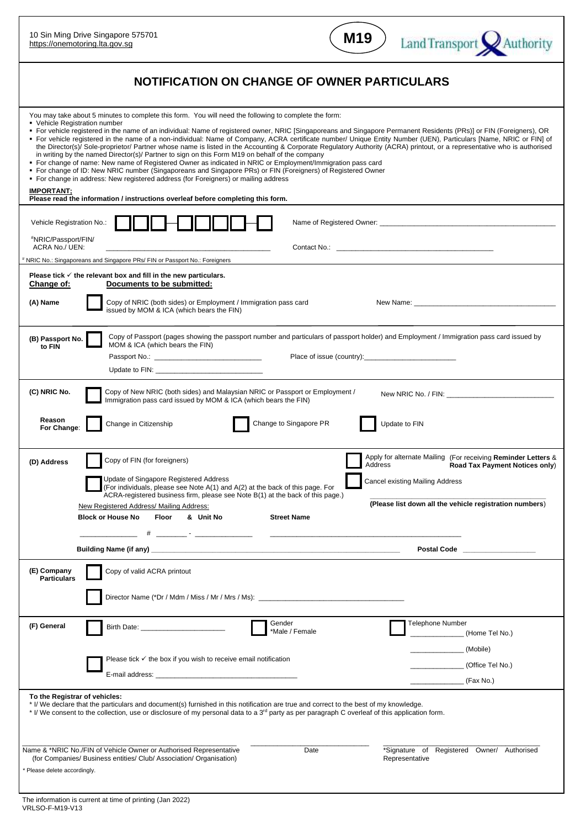| 10 Sin Ming Drive Singapore 575701<br>https://onemotoring.lta.gov.sg                                                                                                                                                                                                                                                                                                                                                                                                                                                                                                                                                                                                                                                                                                                                                                                                                                                                                                                                                                                                                                                                                                                              |                                                                                                                                                                                                                                                                                                                                         | M19                           | Land Transport Authority                                                                                                                                                                      |  |
|---------------------------------------------------------------------------------------------------------------------------------------------------------------------------------------------------------------------------------------------------------------------------------------------------------------------------------------------------------------------------------------------------------------------------------------------------------------------------------------------------------------------------------------------------------------------------------------------------------------------------------------------------------------------------------------------------------------------------------------------------------------------------------------------------------------------------------------------------------------------------------------------------------------------------------------------------------------------------------------------------------------------------------------------------------------------------------------------------------------------------------------------------------------------------------------------------|-----------------------------------------------------------------------------------------------------------------------------------------------------------------------------------------------------------------------------------------------------------------------------------------------------------------------------------------|-------------------------------|-----------------------------------------------------------------------------------------------------------------------------------------------------------------------------------------------|--|
| NOTIFICATION ON CHANGE OF OWNER PARTICULARS                                                                                                                                                                                                                                                                                                                                                                                                                                                                                                                                                                                                                                                                                                                                                                                                                                                                                                                                                                                                                                                                                                                                                       |                                                                                                                                                                                                                                                                                                                                         |                               |                                                                                                                                                                                               |  |
| You may take about 5 minutes to complete this form. You will need the following to complete the form:<br>• Vehicle Registration number<br>■ For vehicle registered in the name of an individual: Name of registered owner, NRIC [Singaporeans and Singapore Permanent Residents (PRs)] or FIN (Foreigners), OR<br>• For vehicle registered in the name of a non-individual: Name of Company, ACRA certificate number/ Unique Entity Number (UEN), Particulars [Name, NRIC or FIN] of<br>the Director(s)/ Sole-proprietor/ Partner whose name is listed in the Accounting & Corporate Regulatory Authority (ACRA) printout, or a representative who is authorised<br>in writing by the named Director(s)/ Partner to sign on this Form M19 on behalf of the company<br>• For change of name: New name of Registered Owner as indicated in NRIC or Employment/Immigration pass card<br>• For change of ID: New NRIC number (Singaporeans and Singapore PRs) or FIN (Foreigners) of Registered Owner<br>• For change in address: New registered address (for Foreigners) or mailing address<br><b>IMPORTANT:</b><br>Please read the information / instructions overleaf before completing this form. |                                                                                                                                                                                                                                                                                                                                         |                               |                                                                                                                                                                                               |  |
| Vehicle Registration No.:<br>"NRIC/Passport/FIN/<br>ACRA No./ UEN:<br>NRIC No.: Singaporeans and Singapore PRs/ FIN or Passport No.: Foreigners                                                                                                                                                                                                                                                                                                                                                                                                                                                                                                                                                                                                                                                                                                                                                                                                                                                                                                                                                                                                                                                   |                                                                                                                                                                                                                                                                                                                                         |                               |                                                                                                                                                                                               |  |
| Please tick $\checkmark$ the relevant box and fill in the new particulars.<br>Documents to be submitted:<br>Change of:<br>Copy of NRIC (both sides) or Employment / Immigration pass card<br>(A) Name<br>issued by MOM & ICA (which bears the FIN)                                                                                                                                                                                                                                                                                                                                                                                                                                                                                                                                                                                                                                                                                                                                                                                                                                                                                                                                                |                                                                                                                                                                                                                                                                                                                                         |                               |                                                                                                                                                                                               |  |
| (B) Passport No.<br>to FIN                                                                                                                                                                                                                                                                                                                                                                                                                                                                                                                                                                                                                                                                                                                                                                                                                                                                                                                                                                                                                                                                                                                                                                        | Copy of Passport (pages showing the passport number and particulars of passport holder) and Employment / Immigration pass card issued by<br>MOM & ICA (which bears the FIN)                                                                                                                                                             |                               |                                                                                                                                                                                               |  |
| (C) NRIC No.<br>Copy of New NRIC (both sides) and Malaysian NRIC or Passport or Employment /<br>Immigration pass card issued by MOM & ICA (which bears the FIN)<br>Reason<br>Change to Singapore PR<br>Change in Citizenship<br>Update to FIN<br>For Change:                                                                                                                                                                                                                                                                                                                                                                                                                                                                                                                                                                                                                                                                                                                                                                                                                                                                                                                                      |                                                                                                                                                                                                                                                                                                                                         |                               |                                                                                                                                                                                               |  |
| (D) Address                                                                                                                                                                                                                                                                                                                                                                                                                                                                                                                                                                                                                                                                                                                                                                                                                                                                                                                                                                                                                                                                                                                                                                                       | Copy of FIN (for foreigners)<br>Update of Singapore Registered Address<br>(For individuals, please see Note A(1) and A(2) at the back of this page. For<br>ACRA-registered business firm, please see Note B(1) at the back of this page.)<br>New Registered Address/ Mailing Address:<br><b>Block or House No</b><br>& Unit No<br>Floor | Address<br><b>Street Name</b> | Apply for alternate Mailing (For receiving Reminder Letters &<br>Road Tax Payment Notices only)<br>Cancel existing Mailing Address<br>(Please list down all the vehicle registration numbers) |  |
|                                                                                                                                                                                                                                                                                                                                                                                                                                                                                                                                                                                                                                                                                                                                                                                                                                                                                                                                                                                                                                                                                                                                                                                                   |                                                                                                                                                                                                                                                                                                                                         |                               | Postal Code <b>Communications</b>                                                                                                                                                             |  |
| (E) Company<br><b>Particulars</b>                                                                                                                                                                                                                                                                                                                                                                                                                                                                                                                                                                                                                                                                                                                                                                                                                                                                                                                                                                                                                                                                                                                                                                 | Copy of valid ACRA printout                                                                                                                                                                                                                                                                                                             |                               |                                                                                                                                                                                               |  |
| (F) General                                                                                                                                                                                                                                                                                                                                                                                                                                                                                                                                                                                                                                                                                                                                                                                                                                                                                                                                                                                                                                                                                                                                                                                       | Birth Date: <u>_______________________</u><br>Please tick $\checkmark$ the box if you wish to receive email notification                                                                                                                                                                                                                | Gender<br>*Male / Female      | Telephone Number<br>(Home Tel No.)<br>(Mobile)<br>_ (Office Tel No.)<br><sub>_</sub> (Fax No.)                                                                                                |  |
| To the Registrar of vehicles:<br>* I/ We declare that the particulars and document(s) furnished in this notification are true and correct to the best of my knowledge.<br>* I/ We consent to the collection, use or disclosure of my personal data to a 3 <sup>rd</sup> party as per paragraph C overleaf of this application form.                                                                                                                                                                                                                                                                                                                                                                                                                                                                                                                                                                                                                                                                                                                                                                                                                                                               |                                                                                                                                                                                                                                                                                                                                         |                               |                                                                                                                                                                                               |  |
| *Signature of Registered Owner/ Authorised<br>Name & *NRIC No./FIN of Vehicle Owner or Authorised Representative<br>Date<br>Representative<br>(for Companies/ Business entities/ Club/ Association/ Organisation)<br>* Please delete accordingly.                                                                                                                                                                                                                                                                                                                                                                                                                                                                                                                                                                                                                                                                                                                                                                                                                                                                                                                                                 |                                                                                                                                                                                                                                                                                                                                         |                               |                                                                                                                                                                                               |  |
| The information is current at time of printing (Jan 2022)                                                                                                                                                                                                                                                                                                                                                                                                                                                                                                                                                                                                                                                                                                                                                                                                                                                                                                                                                                                                                                                                                                                                         |                                                                                                                                                                                                                                                                                                                                         |                               |                                                                                                                                                                                               |  |